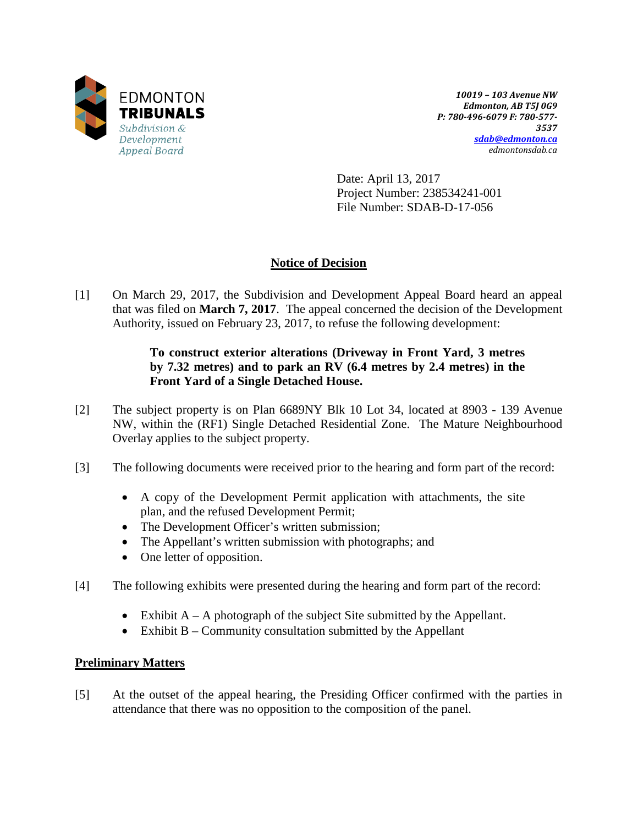

*10019 – 103 Avenue NW Edmonton, AB T5J 0G9 P: 780-496-6079 F: 780-577- 3537 [sdab@edmonton.ca](mailto:sdab@edmonton.ca) edmontonsdab.ca*

Date: April 13, 2017 Project Number: 238534241-001 File Number: SDAB-D-17-056

# **Notice of Decision**

[1] On March 29, 2017, the Subdivision and Development Appeal Board heard an appeal that was filed on **March 7, 2017**. The appeal concerned the decision of the Development Authority, issued on February 23, 2017, to refuse the following development:

# **To construct exterior alterations (Driveway in Front Yard, 3 metres by 7.32 metres) and to park an RV (6.4 metres by 2.4 metres) in the Front Yard of a Single Detached House.**

- [2] The subject property is on Plan 6689NY Blk 10 Lot 34, located at 8903 139 Avenue NW, within the (RF1) Single Detached Residential Zone. The Mature Neighbourhood Overlay applies to the subject property.
- [3] The following documents were received prior to the hearing and form part of the record:
	- A copy of the Development Permit application with attachments, the site plan, and the refused Development Permit;
	- The Development Officer's written submission;
	- The Appellant's written submission with photographs; and
	- One letter of opposition.
- [4] The following exhibits were presented during the hearing and form part of the record:
	- Exhibit  $A A$  photograph of the subject Site submitted by the Appellant.
	- Exhibit  $B -$  Community consultation submitted by the Appellant

# **Preliminary Matters**

[5] At the outset of the appeal hearing, the Presiding Officer confirmed with the parties in attendance that there was no opposition to the composition of the panel.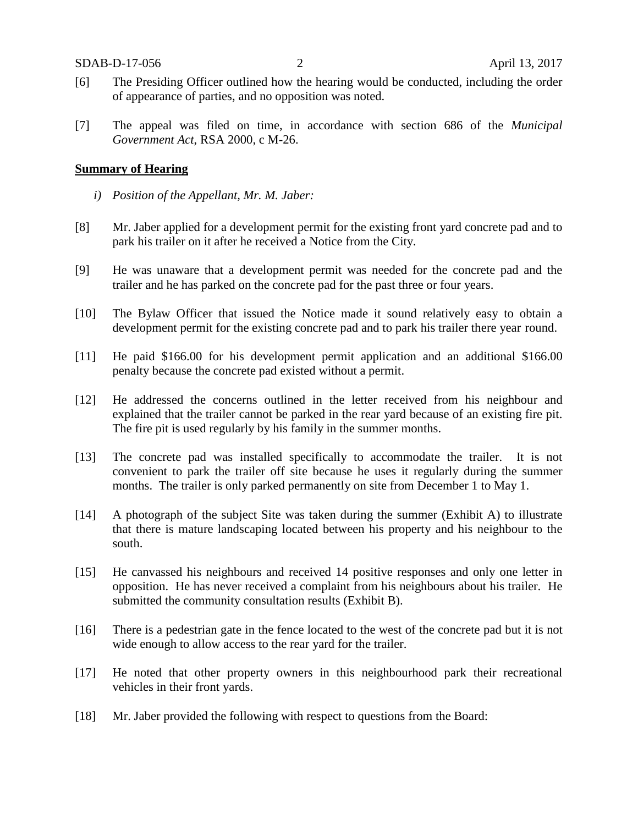- [6] The Presiding Officer outlined how the hearing would be conducted, including the order of appearance of parties, and no opposition was noted.
- [7] The appeal was filed on time, in accordance with section 686 of the *Municipal Government Act*, RSA 2000, c M-26.

#### **Summary of Hearing**

- *i) Position of the Appellant, Mr. M. Jaber:*
- [8] Mr. Jaber applied for a development permit for the existing front yard concrete pad and to park his trailer on it after he received a Notice from the City.
- [9] He was unaware that a development permit was needed for the concrete pad and the trailer and he has parked on the concrete pad for the past three or four years.
- [10] The Bylaw Officer that issued the Notice made it sound relatively easy to obtain a development permit for the existing concrete pad and to park his trailer there year round.
- [11] He paid \$166.00 for his development permit application and an additional \$166.00 penalty because the concrete pad existed without a permit.
- [12] He addressed the concerns outlined in the letter received from his neighbour and explained that the trailer cannot be parked in the rear yard because of an existing fire pit. The fire pit is used regularly by his family in the summer months.
- [13] The concrete pad was installed specifically to accommodate the trailer. It is not convenient to park the trailer off site because he uses it regularly during the summer months. The trailer is only parked permanently on site from December 1 to May 1.
- [14] A photograph of the subject Site was taken during the summer (Exhibit A) to illustrate that there is mature landscaping located between his property and his neighbour to the south.
- [15] He canvassed his neighbours and received 14 positive responses and only one letter in opposition. He has never received a complaint from his neighbours about his trailer. He submitted the community consultation results (Exhibit B).
- [16] There is a pedestrian gate in the fence located to the west of the concrete pad but it is not wide enough to allow access to the rear yard for the trailer.
- [17] He noted that other property owners in this neighbourhood park their recreational vehicles in their front yards.
- [18] Mr. Jaber provided the following with respect to questions from the Board: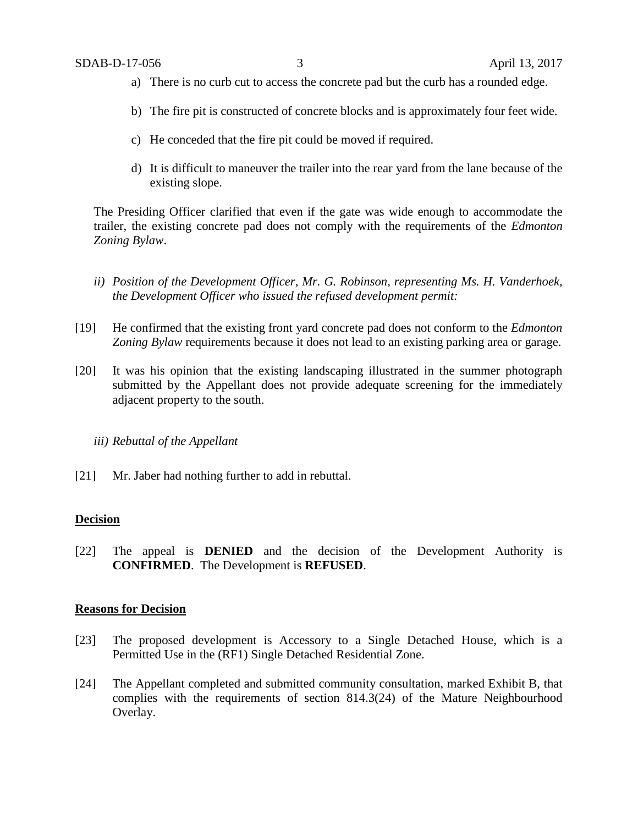- a) There is no curb cut to access the concrete pad but the curb has a rounded edge.
- b) The fire pit is constructed of concrete blocks and is approximately four feet wide.
- c) He conceded that the fire pit could be moved if required.
- d) It is difficult to maneuver the trailer into the rear yard from the lane because of the existing slope.

The Presiding Officer clarified that even if the gate was wide enough to accommodate the trailer, the existing concrete pad does not comply with the requirements of the *Edmonton Zoning Bylaw*.

- *ii) Position of the Development Officer, Mr. G. Robinson, representing Ms. H. Vanderhoek, the Development Officer who issued the refused development permit:*
- [19] He confirmed that the existing front yard concrete pad does not conform to the *Edmonton Zoning Bylaw* requirements because it does not lead to an existing parking area or garage.
- [20] It was his opinion that the existing landscaping illustrated in the summer photograph submitted by the Appellant does not provide adequate screening for the immediately adjacent property to the south.

## *iii) Rebuttal of the Appellant*

[21] Mr. Jaber had nothing further to add in rebuttal.

## **Decision**

[22] The appeal is **DENIED** and the decision of the Development Authority is **CONFIRMED**. The Development is **REFUSED**.

#### **Reasons for Decision**

- [23] The proposed development is Accessory to a Single Detached House, which is a Permitted Use in the (RF1) Single Detached Residential Zone.
- [24] The Appellant completed and submitted community consultation, marked Exhibit B, that complies with the requirements of section 814.3(24) of the Mature Neighbourhood Overlay.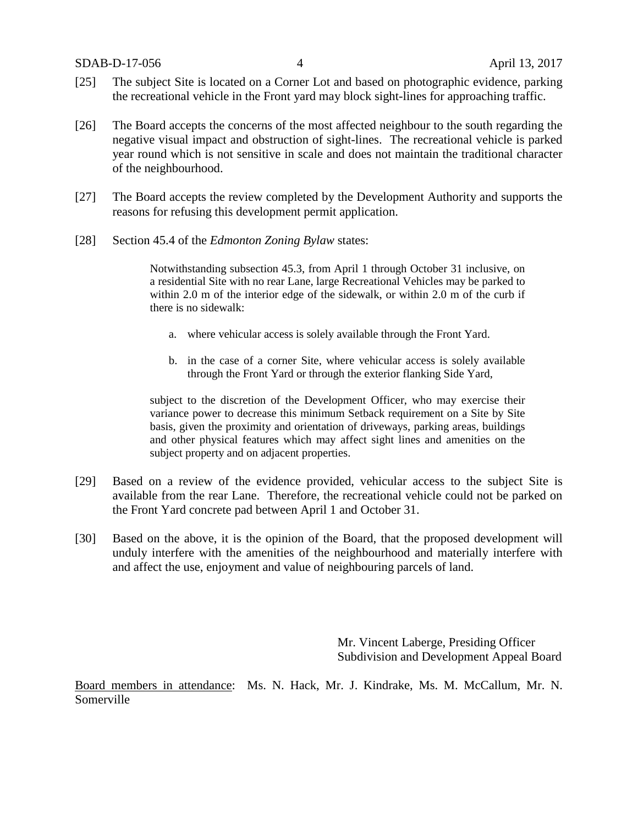SDAB-D-17-056 4 April 13, 2017

- [25] The subject Site is located on a Corner Lot and based on photographic evidence, parking the recreational vehicle in the Front yard may block sight-lines for approaching traffic.
- [26] The Board accepts the concerns of the most affected neighbour to the south regarding the negative visual impact and obstruction of sight-lines. The recreational vehicle is parked year round which is not sensitive in scale and does not maintain the traditional character of the neighbourhood.
- [27] The Board accepts the review completed by the Development Authority and supports the reasons for refusing this development permit application.
- [28] Section 45.4 of the *Edmonton Zoning Bylaw* states:

Notwithstanding subsection 45.3, from April 1 through October 31 inclusive, on a residential Site with no rear Lane, large Recreational Vehicles may be parked to within 2.0 m of the interior edge of the sidewalk, or within 2.0 m of the curb if there is no sidewalk:

- a. where vehicular access is solely available through the Front Yard.
- b. in the case of a corner Site, where vehicular access is solely available through the Front Yard or through the exterior flanking Side Yard,

subject to the discretion of the Development Officer, who may exercise their variance power to decrease this minimum Setback requirement on a Site by Site basis, given the proximity and orientation of driveways, parking areas, buildings and other physical features which may affect sight lines and amenities on the subject property and on adjacent properties.

- [29] Based on a review of the evidence provided, vehicular access to the subject Site is available from the rear Lane. Therefore, the recreational vehicle could not be parked on the Front Yard concrete pad between April 1 and October 31.
- [30] Based on the above, it is the opinion of the Board, that the proposed development will unduly interfere with the amenities of the neighbourhood and materially interfere with and affect the use, enjoyment and value of neighbouring parcels of land.

Mr. Vincent Laberge, Presiding Officer Subdivision and Development Appeal Board

Board members in attendance: Ms. N. Hack, Mr. J. Kindrake, Ms. M. McCallum, Mr. N. Somerville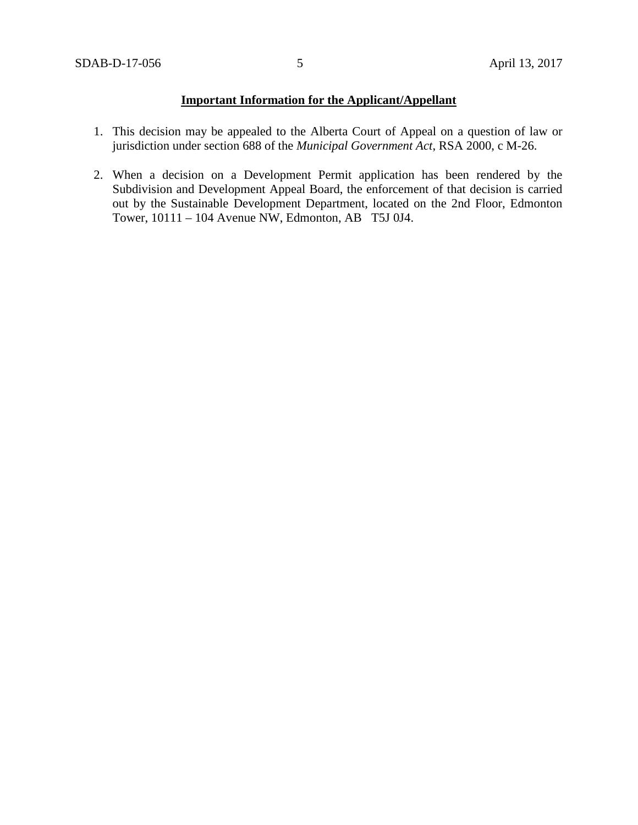## **Important Information for the Applicant/Appellant**

- 1. This decision may be appealed to the Alberta Court of Appeal on a question of law or jurisdiction under section 688 of the *Municipal Government Act*, RSA 2000, c M-26.
- 2. When a decision on a Development Permit application has been rendered by the Subdivision and Development Appeal Board, the enforcement of that decision is carried out by the Sustainable Development Department, located on the 2nd Floor, Edmonton Tower, 10111 – 104 Avenue NW, Edmonton, AB T5J 0J4.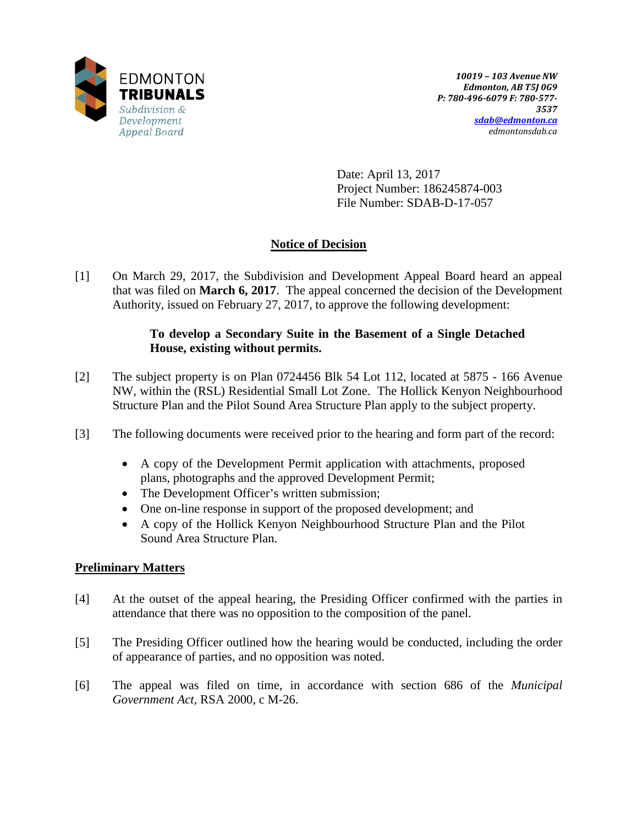

Date: April 13, 2017 Project Number: 186245874-003 File Number: SDAB-D-17-057

# **Notice of Decision**

[1] On March 29, 2017, the Subdivision and Development Appeal Board heard an appeal that was filed on **March 6, 2017**. The appeal concerned the decision of the Development Authority, issued on February 27, 2017, to approve the following development:

# **To develop a Secondary Suite in the Basement of a Single Detached House, existing without permits.**

- [2] The subject property is on Plan 0724456 Blk 54 Lot 112, located at 5875 166 Avenue NW, within the (RSL) Residential Small Lot Zone. The Hollick Kenyon Neighbourhood Structure Plan and the Pilot Sound Area Structure Plan apply to the subject property.
- [3] The following documents were received prior to the hearing and form part of the record:
	- A copy of the Development Permit application with attachments, proposed plans, photographs and the approved Development Permit;
	- The Development Officer's written submission;
	- One on-line response in support of the proposed development; and
	- A copy of the Hollick Kenyon Neighbourhood Structure Plan and the Pilot Sound Area Structure Plan.

# **Preliminary Matters**

- [4] At the outset of the appeal hearing, the Presiding Officer confirmed with the parties in attendance that there was no opposition to the composition of the panel.
- [5] The Presiding Officer outlined how the hearing would be conducted, including the order of appearance of parties, and no opposition was noted.
- [6] The appeal was filed on time, in accordance with section 686 of the *Municipal Government Act*, RSA 2000, c M-26.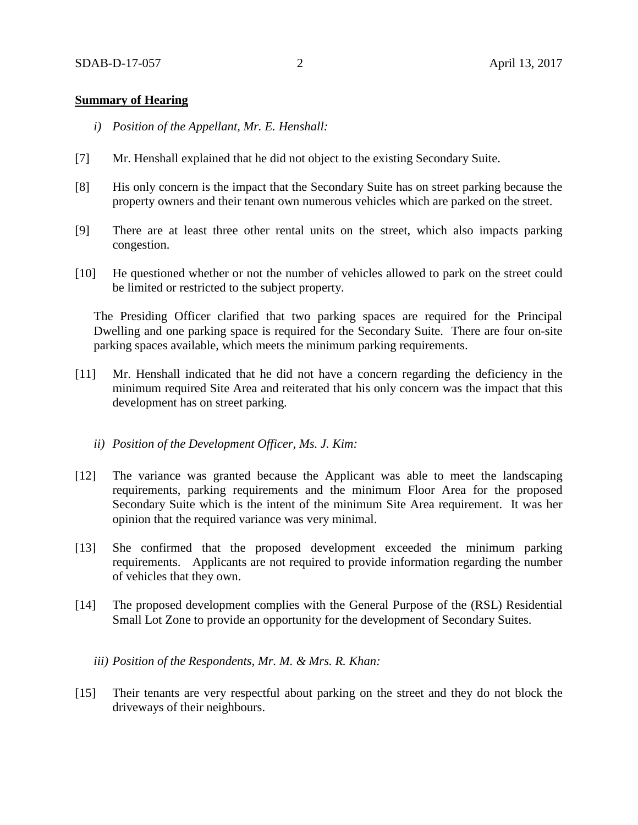#### **Summary of Hearing**

- *i) Position of the Appellant, Mr. E. Henshall:*
- [7] Mr. Henshall explained that he did not object to the existing Secondary Suite.
- [8] His only concern is the impact that the Secondary Suite has on street parking because the property owners and their tenant own numerous vehicles which are parked on the street.
- [9] There are at least three other rental units on the street, which also impacts parking congestion.
- [10] He questioned whether or not the number of vehicles allowed to park on the street could be limited or restricted to the subject property.

The Presiding Officer clarified that two parking spaces are required for the Principal Dwelling and one parking space is required for the Secondary Suite. There are four on-site parking spaces available, which meets the minimum parking requirements.

- [11] Mr. Henshall indicated that he did not have a concern regarding the deficiency in the minimum required Site Area and reiterated that his only concern was the impact that this development has on street parking.
	- *ii) Position of the Development Officer, Ms. J. Kim:*
- [12] The variance was granted because the Applicant was able to meet the landscaping requirements, parking requirements and the minimum Floor Area for the proposed Secondary Suite which is the intent of the minimum Site Area requirement. It was her opinion that the required variance was very minimal.
- [13] She confirmed that the proposed development exceeded the minimum parking requirements. Applicants are not required to provide information regarding the number of vehicles that they own.
- [14] The proposed development complies with the General Purpose of the (RSL) Residential Small Lot Zone to provide an opportunity for the development of Secondary Suites.
	- *iii) Position of the Respondents, Mr. M. & Mrs. R. Khan:*
- [15] Their tenants are very respectful about parking on the street and they do not block the driveways of their neighbours.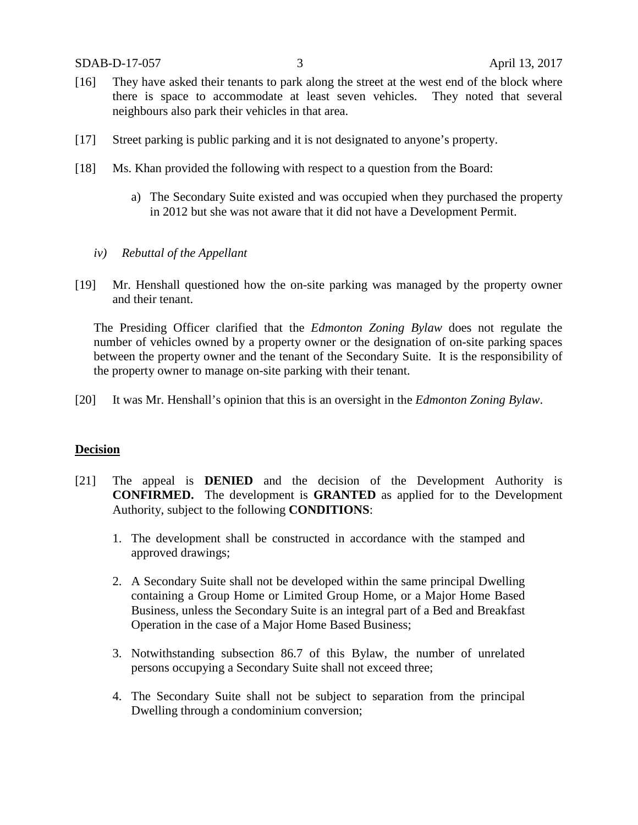SDAB-D-17-057 3 April 13, 2017

- [16] They have asked their tenants to park along the street at the west end of the block where there is space to accommodate at least seven vehicles. They noted that several neighbours also park their vehicles in that area.
- [17] Street parking is public parking and it is not designated to anyone's property.
- [18] Ms. Khan provided the following with respect to a question from the Board:
	- a) The Secondary Suite existed and was occupied when they purchased the property in 2012 but she was not aware that it did not have a Development Permit.
	- *iv) Rebuttal of the Appellant*
- [19] Mr. Henshall questioned how the on-site parking was managed by the property owner and their tenant.

The Presiding Officer clarified that the *Edmonton Zoning Bylaw* does not regulate the number of vehicles owned by a property owner or the designation of on-site parking spaces between the property owner and the tenant of the Secondary Suite. It is the responsibility of the property owner to manage on-site parking with their tenant.

[20] It was Mr. Henshall's opinion that this is an oversight in the *Edmonton Zoning Bylaw*.

## **Decision**

- [21] The appeal is **DENIED** and the decision of the Development Authority is **CONFIRMED.** The development is **GRANTED** as applied for to the Development Authority, subject to the following **CONDITIONS**:
	- 1. The development shall be constructed in accordance with the stamped and approved drawings;
	- 2. A Secondary Suite shall not be developed within the same principal Dwelling containing a Group Home or Limited Group Home, or a Major Home Based Business, unless the Secondary Suite is an integral part of a Bed and Breakfast Operation in the case of a Major Home Based Business;
	- 3. Notwithstanding subsection 86.7 of this Bylaw, the number of unrelated persons occupying a Secondary Suite shall not exceed three;
	- 4. The Secondary Suite shall not be subject to separation from the principal Dwelling through a condominium conversion;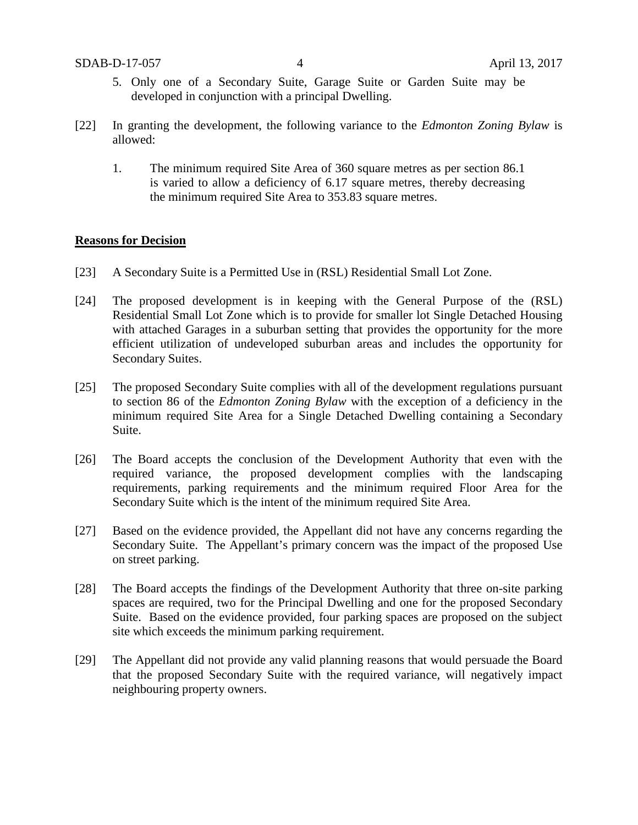- 5. Only one of a Secondary Suite, Garage Suite or Garden Suite may be developed in conjunction with a principal Dwelling.
- [22] In granting the development, the following variance to the *Edmonton Zoning Bylaw* is allowed:
	- 1. The minimum required Site Area of 360 square metres as per section 86.1 is varied to allow a deficiency of 6.17 square metres, thereby decreasing the minimum required Site Area to 353.83 square metres.

### **Reasons for Decision**

- [23] A Secondary Suite is a Permitted Use in (RSL) Residential Small Lot Zone.
- [24] The proposed development is in keeping with the General Purpose of the (RSL) Residential Small Lot Zone which is to provide for smaller lot Single Detached Housing with attached Garages in a suburban setting that provides the opportunity for the more efficient utilization of undeveloped suburban areas and includes the opportunity for Secondary Suites.
- [25] The proposed Secondary Suite complies with all of the development regulations pursuant to section 86 of the *Edmonton Zoning Bylaw* with the exception of a deficiency in the minimum required Site Area for a Single Detached Dwelling containing a Secondary Suite.
- [26] The Board accepts the conclusion of the Development Authority that even with the required variance, the proposed development complies with the landscaping requirements, parking requirements and the minimum required Floor Area for the Secondary Suite which is the intent of the minimum required Site Area.
- [27] Based on the evidence provided, the Appellant did not have any concerns regarding the Secondary Suite. The Appellant's primary concern was the impact of the proposed Use on street parking.
- [28] The Board accepts the findings of the Development Authority that three on-site parking spaces are required, two for the Principal Dwelling and one for the proposed Secondary Suite. Based on the evidence provided, four parking spaces are proposed on the subject site which exceeds the minimum parking requirement.
- [29] The Appellant did not provide any valid planning reasons that would persuade the Board that the proposed Secondary Suite with the required variance, will negatively impact neighbouring property owners.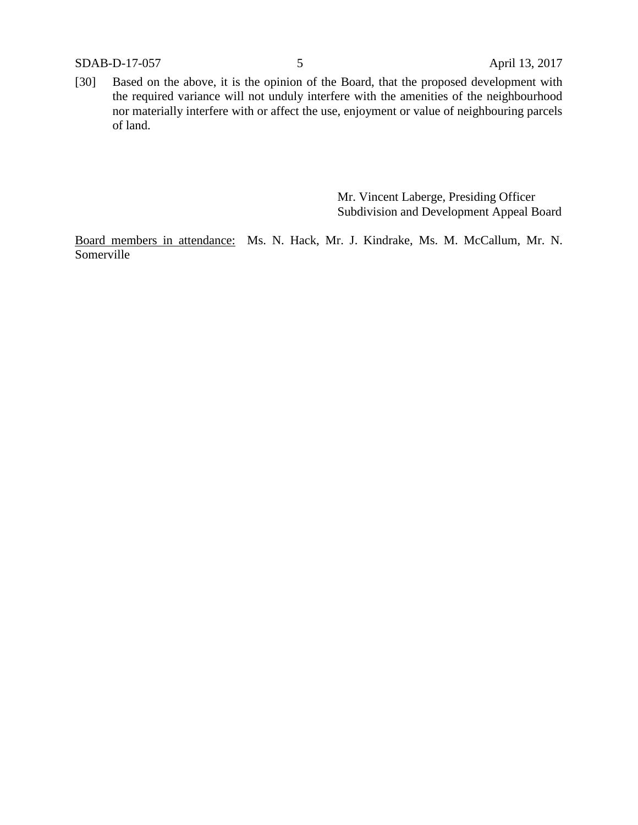SDAB-D-17-057 5 April 13, 2017

[30] Based on the above, it is the opinion of the Board, that the proposed development with the required variance will not unduly interfere with the amenities of the neighbourhood nor materially interfere with or affect the use, enjoyment or value of neighbouring parcels of land.

> Mr. Vincent Laberge, Presiding Officer Subdivision and Development Appeal Board

Board members in attendance: Ms. N. Hack, Mr. J. Kindrake, Ms. M. McCallum, Mr. N. Somerville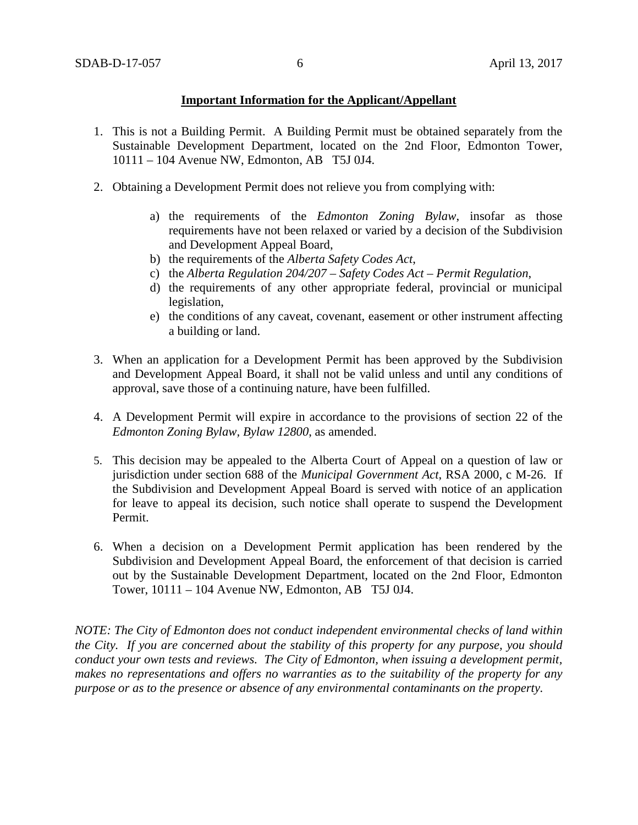### **Important Information for the Applicant/Appellant**

- 1. This is not a Building Permit. A Building Permit must be obtained separately from the Sustainable Development Department, located on the 2nd Floor, Edmonton Tower, 10111 – 104 Avenue NW, Edmonton, AB T5J 0J4.
- 2. Obtaining a Development Permit does not relieve you from complying with:
	- a) the requirements of the *Edmonton Zoning Bylaw*, insofar as those requirements have not been relaxed or varied by a decision of the Subdivision and Development Appeal Board,
	- b) the requirements of the *Alberta Safety Codes Act*,
	- c) the *Alberta Regulation 204/207 – Safety Codes Act – Permit Regulation*,
	- d) the requirements of any other appropriate federal, provincial or municipal legislation,
	- e) the conditions of any caveat, covenant, easement or other instrument affecting a building or land.
- 3. When an application for a Development Permit has been approved by the Subdivision and Development Appeal Board, it shall not be valid unless and until any conditions of approval, save those of a continuing nature, have been fulfilled.
- 4. A Development Permit will expire in accordance to the provisions of section 22 of the *Edmonton Zoning Bylaw, Bylaw 12800*, as amended.
- 5. This decision may be appealed to the Alberta Court of Appeal on a question of law or jurisdiction under section 688 of the *Municipal Government Act*, RSA 2000, c M-26. If the Subdivision and Development Appeal Board is served with notice of an application for leave to appeal its decision, such notice shall operate to suspend the Development Permit.
- 6. When a decision on a Development Permit application has been rendered by the Subdivision and Development Appeal Board, the enforcement of that decision is carried out by the Sustainable Development Department, located on the 2nd Floor, Edmonton Tower, 10111 – 104 Avenue NW, Edmonton, AB T5J 0J4.

*NOTE: The City of Edmonton does not conduct independent environmental checks of land within the City. If you are concerned about the stability of this property for any purpose, you should conduct your own tests and reviews. The City of Edmonton, when issuing a development permit, makes no representations and offers no warranties as to the suitability of the property for any purpose or as to the presence or absence of any environmental contaminants on the property.*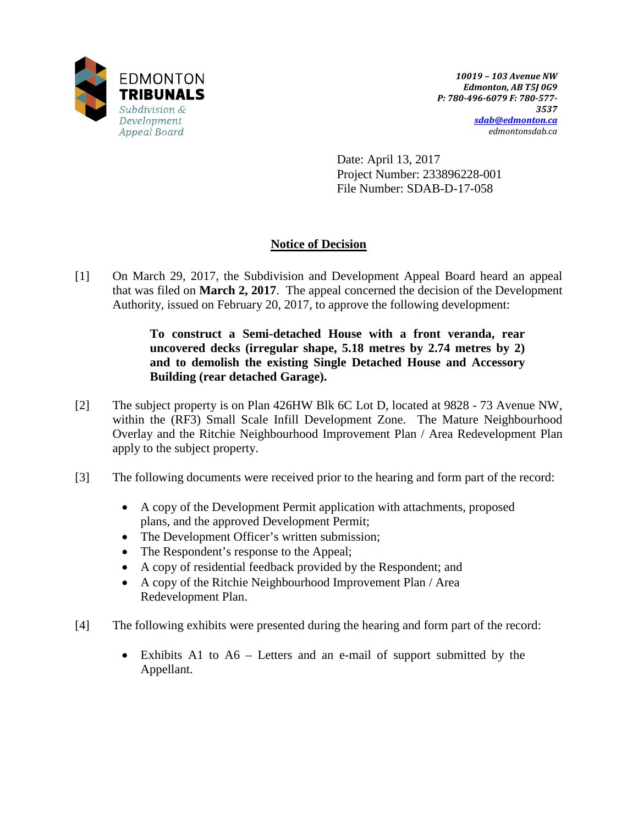

Date: April 13, 2017 Project Number: 233896228-001 File Number: SDAB-D-17-058

# **Notice of Decision**

[1] On March 29, 2017, the Subdivision and Development Appeal Board heard an appeal that was filed on **March 2, 2017**. The appeal concerned the decision of the Development Authority, issued on February 20, 2017, to approve the following development:

> **To construct a Semi-detached House with a front veranda, rear uncovered decks (irregular shape, 5.18 metres by 2.74 metres by 2) and to demolish the existing Single Detached House and Accessory Building (rear detached Garage).**

- [2] The subject property is on Plan 426HW Blk 6C Lot D, located at 9828 73 Avenue NW, within the (RF3) Small Scale Infill Development Zone. The Mature Neighbourhood Overlay and the Ritchie Neighbourhood Improvement Plan / Area Redevelopment Plan apply to the subject property.
- [3] The following documents were received prior to the hearing and form part of the record:
	- A copy of the Development Permit application with attachments, proposed plans, and the approved Development Permit;
	- The Development Officer's written submission;
	- The Respondent's response to the Appeal;
	- A copy of residential feedback provided by the Respondent; and
	- A copy of the Ritchie Neighbourhood Improvement Plan / Area Redevelopment Plan.
- [4] The following exhibits were presented during the hearing and form part of the record:
	- Exhibits A1 to A6 Letters and an e-mail of support submitted by the Appellant.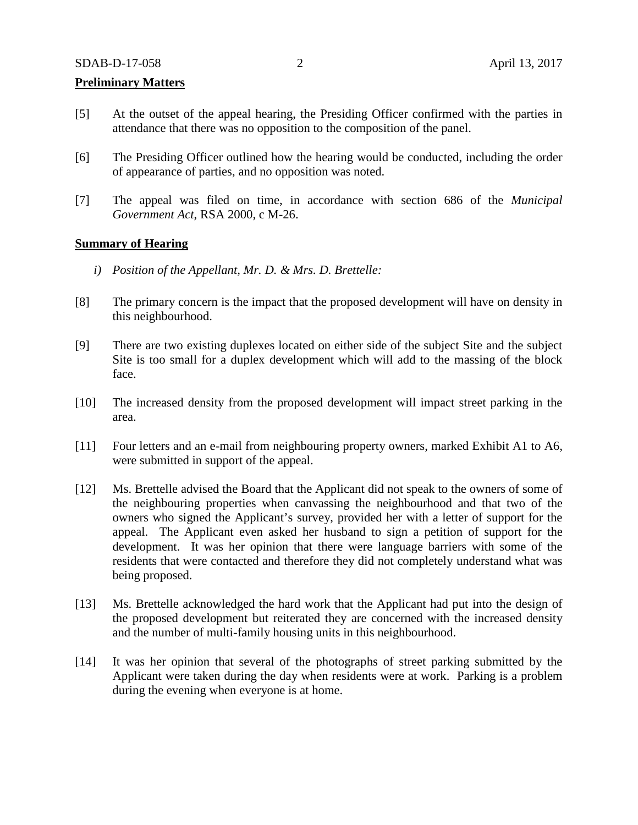#### **Preliminary Matters**

- [5] At the outset of the appeal hearing, the Presiding Officer confirmed with the parties in attendance that there was no opposition to the composition of the panel.
- [6] The Presiding Officer outlined how the hearing would be conducted, including the order of appearance of parties, and no opposition was noted.
- [7] The appeal was filed on time, in accordance with section 686 of the *Municipal Government Act*, RSA 2000, c M-26.

#### **Summary of Hearing**

- *i) Position of the Appellant, Mr. D. & Mrs. D. Brettelle:*
- [8] The primary concern is the impact that the proposed development will have on density in this neighbourhood.
- [9] There are two existing duplexes located on either side of the subject Site and the subject Site is too small for a duplex development which will add to the massing of the block face.
- [10] The increased density from the proposed development will impact street parking in the area.
- [11] Four letters and an e-mail from neighbouring property owners, marked Exhibit A1 to A6, were submitted in support of the appeal.
- [12] Ms. Brettelle advised the Board that the Applicant did not speak to the owners of some of the neighbouring properties when canvassing the neighbourhood and that two of the owners who signed the Applicant's survey, provided her with a letter of support for the appeal. The Applicant even asked her husband to sign a petition of support for the development. It was her opinion that there were language barriers with some of the residents that were contacted and therefore they did not completely understand what was being proposed.
- [13] Ms. Brettelle acknowledged the hard work that the Applicant had put into the design of the proposed development but reiterated they are concerned with the increased density and the number of multi-family housing units in this neighbourhood.
- [14] It was her opinion that several of the photographs of street parking submitted by the Applicant were taken during the day when residents were at work. Parking is a problem during the evening when everyone is at home.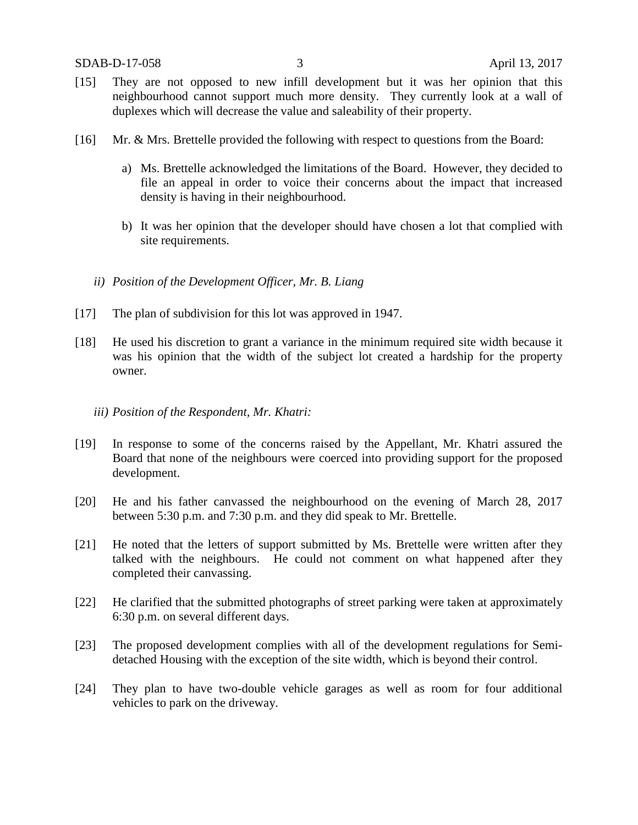- [15] They are not opposed to new infill development but it was her opinion that this neighbourhood cannot support much more density. They currently look at a wall of duplexes which will decrease the value and saleability of their property.
- [16] Mr. & Mrs. Brettelle provided the following with respect to questions from the Board:
	- a) Ms. Brettelle acknowledged the limitations of the Board. However, they decided to file an appeal in order to voice their concerns about the impact that increased density is having in their neighbourhood.
	- b) It was her opinion that the developer should have chosen a lot that complied with site requirements.
	- *ii) Position of the Development Officer, Mr. B. Liang*
- [17] The plan of subdivision for this lot was approved in 1947.
- [18] He used his discretion to grant a variance in the minimum required site width because it was his opinion that the width of the subject lot created a hardship for the property owner.
	- *iii) Position of the Respondent, Mr. Khatri:*
- [19] In response to some of the concerns raised by the Appellant, Mr. Khatri assured the Board that none of the neighbours were coerced into providing support for the proposed development.
- [20] He and his father canvassed the neighbourhood on the evening of March 28, 2017 between 5:30 p.m. and 7:30 p.m. and they did speak to Mr. Brettelle.
- [21] He noted that the letters of support submitted by Ms. Brettelle were written after they talked with the neighbours. He could not comment on what happened after they completed their canvassing.
- [22] He clarified that the submitted photographs of street parking were taken at approximately 6:30 p.m. on several different days.
- [23] The proposed development complies with all of the development regulations for Semidetached Housing with the exception of the site width, which is beyond their control.
- [24] They plan to have two-double vehicle garages as well as room for four additional vehicles to park on the driveway.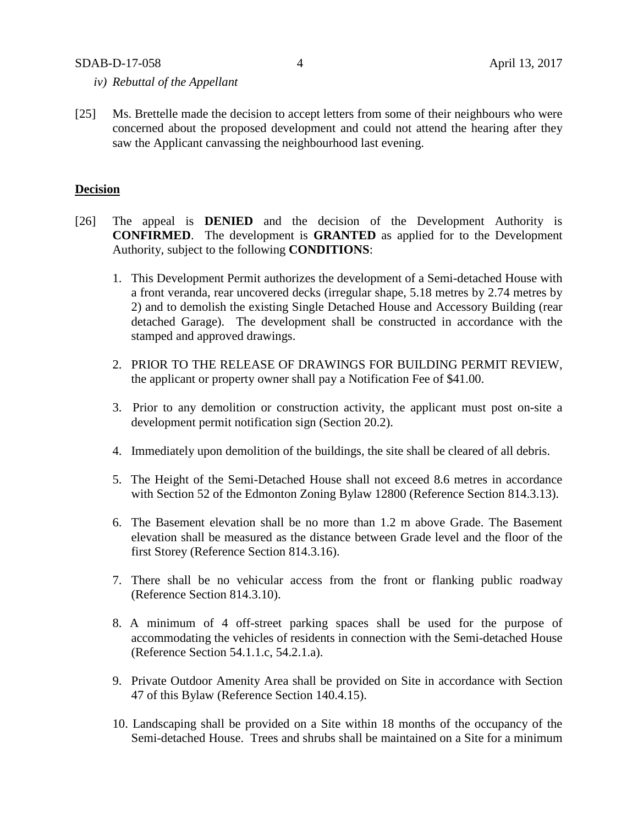- *iv) Rebuttal of the Appellant*
- [25] Ms. Brettelle made the decision to accept letters from some of their neighbours who were concerned about the proposed development and could not attend the hearing after they saw the Applicant canvassing the neighbourhood last evening.

#### **Decision**

- [26] The appeal is **DENIED** and the decision of the Development Authority is **CONFIRMED**. The development is **GRANTED** as applied for to the Development Authority, subject to the following **CONDITIONS**:
	- 1. This Development Permit authorizes the development of a Semi-detached House with a front veranda, rear uncovered decks (irregular shape, 5.18 metres by 2.74 metres by 2) and to demolish the existing Single Detached House and Accessory Building (rear detached Garage). The development shall be constructed in accordance with the stamped and approved drawings.
	- 2. PRIOR TO THE RELEASE OF DRAWINGS FOR BUILDING PERMIT REVIEW, the applicant or property owner shall pay a Notification Fee of \$41.00.
	- 3. Prior to any demolition or construction activity, the applicant must post on-site a development permit notification sign (Section 20.2).
	- 4. Immediately upon demolition of the buildings, the site shall be cleared of all debris.
	- 5. The Height of the Semi-Detached House shall not exceed 8.6 metres in accordance with Section 52 of the Edmonton Zoning Bylaw 12800 (Reference Section 814.3.13).
	- 6. The Basement elevation shall be no more than 1.2 m above Grade. The Basement elevation shall be measured as the distance between Grade level and the floor of the first Storey (Reference Section 814.3.16).
	- 7. There shall be no vehicular access from the front or flanking public roadway (Reference Section 814.3.10).
	- 8. A minimum of 4 off-street parking spaces shall be used for the purpose of accommodating the vehicles of residents in connection with the Semi-detached House (Reference Section 54.1.1.c, 54.2.1.a).
	- 9. Private Outdoor Amenity Area shall be provided on Site in accordance with Section 47 of this Bylaw (Reference Section 140.4.15).
	- 10. Landscaping shall be provided on a Site within 18 months of the occupancy of the Semi-detached House. Trees and shrubs shall be maintained on a Site for a minimum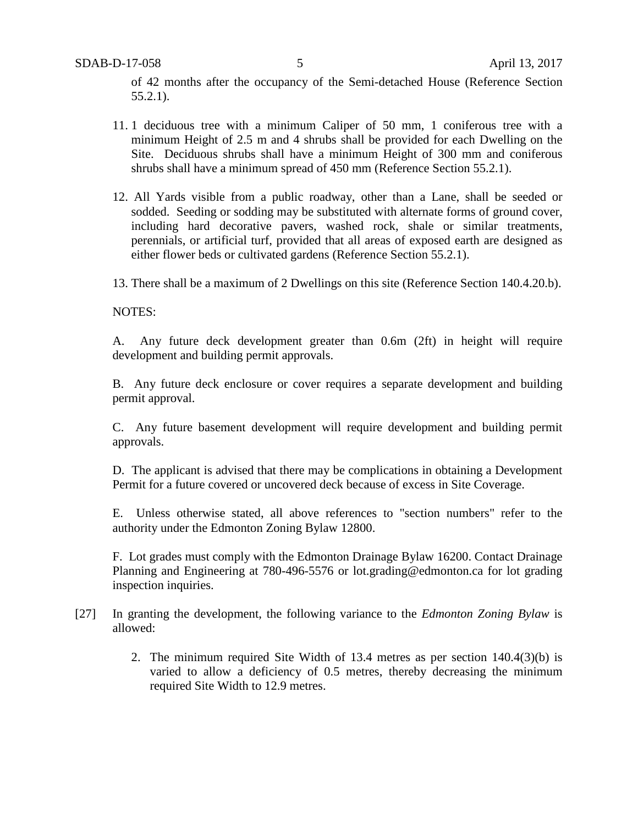of 42 months after the occupancy of the Semi-detached House (Reference Section 55.2.1).

- 11. 1 deciduous tree with a minimum Caliper of 50 mm, 1 coniferous tree with a minimum Height of 2.5 m and 4 shrubs shall be provided for each Dwelling on the Site. Deciduous shrubs shall have a minimum Height of 300 mm and coniferous shrubs shall have a minimum spread of 450 mm (Reference Section 55.2.1).
- 12. All Yards visible from a public roadway, other than a Lane, shall be seeded or sodded. Seeding or sodding may be substituted with alternate forms of ground cover, including hard decorative pavers, washed rock, shale or similar treatments, perennials, or artificial turf, provided that all areas of exposed earth are designed as either flower beds or cultivated gardens (Reference Section 55.2.1).

13. There shall be a maximum of 2 Dwellings on this site (Reference Section 140.4.20.b).

NOTES:

A. Any future deck development greater than 0.6m (2ft) in height will require development and building permit approvals.

B. Any future deck enclosure or cover requires a separate development and building permit approval.

C. Any future basement development will require development and building permit approvals.

D. The applicant is advised that there may be complications in obtaining a Development Permit for a future covered or uncovered deck because of excess in Site Coverage.

E. Unless otherwise stated, all above references to "section numbers" refer to the authority under the Edmonton Zoning Bylaw 12800.

F. Lot grades must comply with the Edmonton Drainage Bylaw 16200. Contact Drainage Planning and Engineering at 780-496-5576 or lot.grading@edmonton.ca for lot grading inspection inquiries.

- [27] In granting the development, the following variance to the *Edmonton Zoning Bylaw* is allowed:
	- 2. The minimum required Site Width of 13.4 metres as per section 140.4(3)(b) is varied to allow a deficiency of 0.5 metres, thereby decreasing the minimum required Site Width to 12.9 metres.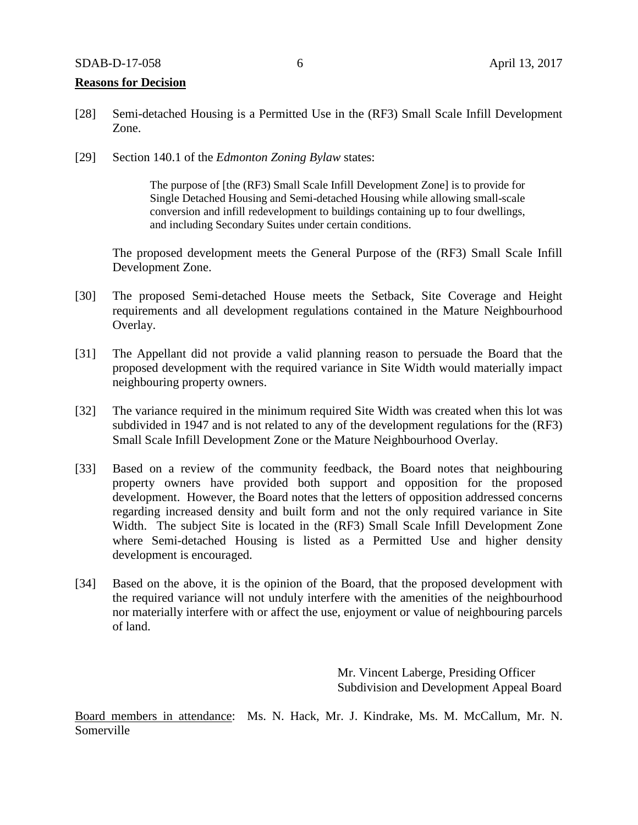#### **Reasons for Decision**

- [28] Semi-detached Housing is a Permitted Use in the (RF3) Small Scale Infill Development Zone.
- [29] Section 140.1 of the *Edmonton Zoning Bylaw* states:

The purpose of [the (RF3) Small Scale Infill Development Zone] is to provide for Single Detached Housing and Semi-detached Housing while allowing small-scale conversion and infill redevelopment to buildings containing up to four dwellings, and including Secondary Suites under certain conditions.

The proposed development meets the General Purpose of the (RF3) Small Scale Infill Development Zone.

- [30] The proposed Semi-detached House meets the Setback, Site Coverage and Height requirements and all development regulations contained in the Mature Neighbourhood Overlay.
- [31] The Appellant did not provide a valid planning reason to persuade the Board that the proposed development with the required variance in Site Width would materially impact neighbouring property owners.
- [32] The variance required in the minimum required Site Width was created when this lot was subdivided in 1947 and is not related to any of the development regulations for the (RF3) Small Scale Infill Development Zone or the Mature Neighbourhood Overlay.
- [33] Based on a review of the community feedback, the Board notes that neighbouring property owners have provided both support and opposition for the proposed development. However, the Board notes that the letters of opposition addressed concerns regarding increased density and built form and not the only required variance in Site Width. The subject Site is located in the (RF3) Small Scale Infill Development Zone where Semi-detached Housing is listed as a Permitted Use and higher density development is encouraged.
- [34] Based on the above, it is the opinion of the Board, that the proposed development with the required variance will not unduly interfere with the amenities of the neighbourhood nor materially interfere with or affect the use, enjoyment or value of neighbouring parcels of land.

Mr. Vincent Laberge, Presiding Officer Subdivision and Development Appeal Board

Board members in attendance: Ms. N. Hack, Mr. J. Kindrake, Ms. M. McCallum, Mr. N. Somerville